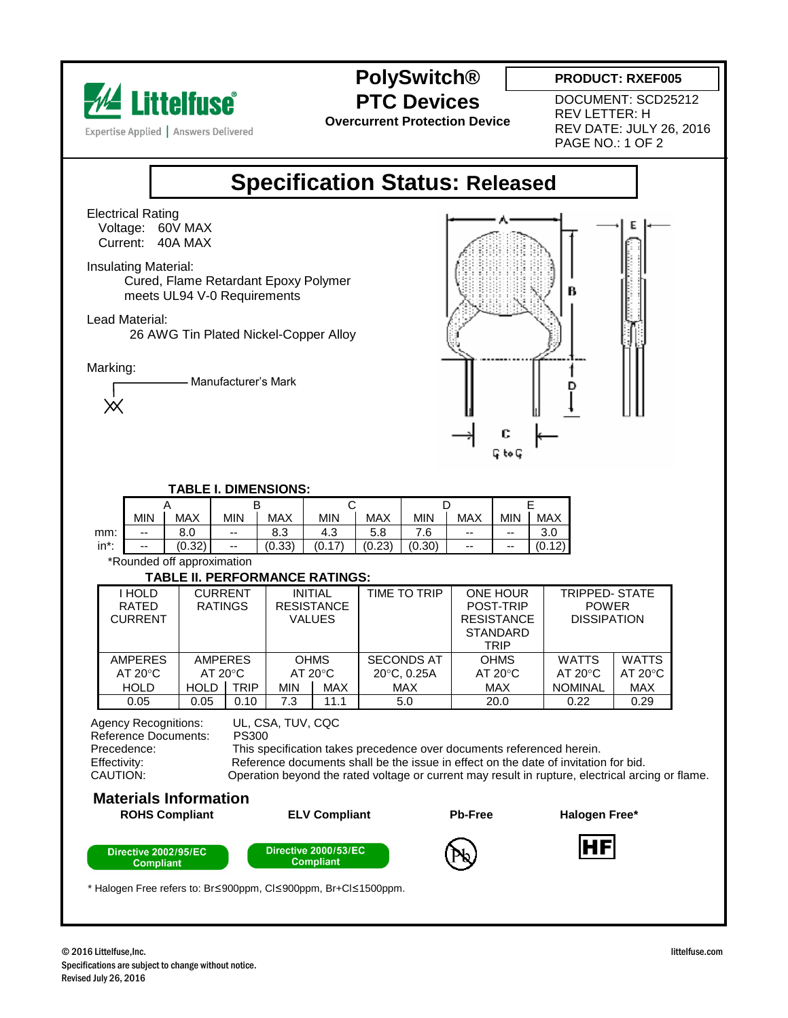

**PolySwitch®**

**PRODUCT: RXEF005**

**PTC Devices Overcurrent Protection Device** DOCUMENT: SCD25212 REV LETTER: H REV DATE: JULY 26, 2016 PAGE NO.: 1 OF 2

## **Specification Status: Released**

Electrical Rating Voltage: 60V MAX Current: 40A MAX

Insulating Material:

 Cured, Flame Retardant Epoxy Polymer meets UL94 V-0 Requirements

Lead Material:

26 AWG Tin Plated Nickel-Copper Alloy

Marking:

Manufacturer's Mark  $\times$ 



 **TABLE I. DIMENSIONS:**

|          |            |        |            |        | ີ                   |            |        |            |     |                         |
|----------|------------|--------|------------|--------|---------------------|------------|--------|------------|-----|-------------------------|
|          | <b>MIN</b> | MAX    | <b>MIN</b> | MAX    | MIN                 | <b>MAX</b> | min    | <b>MAX</b> | MIN | <b>MAX</b>              |
| mm:      | $-$        | 8.0    | --         | 8.3    | 4.3                 | 5.8        | 7.6    | $- -$      | --  | $\Omega$<br>v.v         |
| $in^*$ : | $-$        | (0.32) | --         | (0.33) | $.17^{\circ}$<br>v. | (0.23)     | (0.30) | $-$        | --  | ADY<br>Ό.<br>. <u>.</u> |

\*Rounded off approximation

## TABLE II. PERFORMANCE RATINGS:

| i hold            | <b>CURRENT</b>    |               | <b>INITIAL</b>    |            | <b>TIME TO TRIP</b> | <b>ONE HOUR</b>    | <b>TRIPPED- STATE</b> |                  |  |  |  |  |  |  |
|-------------------|-------------------|---------------|-------------------|------------|---------------------|--------------------|-----------------------|------------------|--|--|--|--|--|--|
| RATED             | <b>RATINGS</b>    |               | <b>RESISTANCE</b> |            |                     | POST-TRIP          | <b>POWER</b>          |                  |  |  |  |  |  |  |
| <b>CURRENT</b>    |                   | <b>VALUES</b> |                   |            | <b>RESISTANCE</b>   | <b>DISSIPATION</b> |                       |                  |  |  |  |  |  |  |
|                   |                   |               |                   |            |                     | <b>STANDARD</b>    |                       |                  |  |  |  |  |  |  |
|                   |                   |               |                   |            |                     | TRIP               |                       |                  |  |  |  |  |  |  |
| <b>AMPERES</b>    | <b>AMPERES</b>    |               | <b>OHMS</b>       |            | <b>SECONDS AT</b>   | <b>OHMS</b>        | <b>WATTS</b>          | <b>WATTS</b>     |  |  |  |  |  |  |
| $AT 20^{\circ}$ C | $AT 20^{\circ}$ C |               | $AT 20^{\circ}C$  |            | 20°C, 0.25A         | $AT 20^{\circ}C$   | AT $20^{\circ}$ C     | $AT 20^{\circ}C$ |  |  |  |  |  |  |
| <b>HOLD</b>       | <b>HOLD</b>       | <b>TRIP</b>   | <b>MIN</b>        | <b>MAX</b> | <b>MAX</b>          | <b>MAX</b>         | <b>NOMINAL</b>        | <b>MAX</b>       |  |  |  |  |  |  |
| 0.05              | 0.05              | 0.10          | 7.3               | 11.1       | 5.0                 | 20.0               | 0.22                  | 0.29             |  |  |  |  |  |  |

 Agency Recognitions: UL, CSA, TUV, CQC Reference Documents: PS300<br>Precedence: This sp Precedence: This specification takes precedence over documents referenced herein.<br>
Filectivity: Effectivity: Reference documents shall be the issue in effect on the date of invitation Effectivity: Reference documents shall be the issue in effect on the date of invitation for bid.<br>CAUTION: CAUTION: Operation bevond the rated voltage or current may result in rupture, electrical arci Operation beyond the rated voltage or current may result in rupture, electrical arcing or flame.

## **Materials Information**



\* Halogen Free refers to: Br≤900ppm, Cl≤900ppm, Br+Cl≤1500ppm.

I